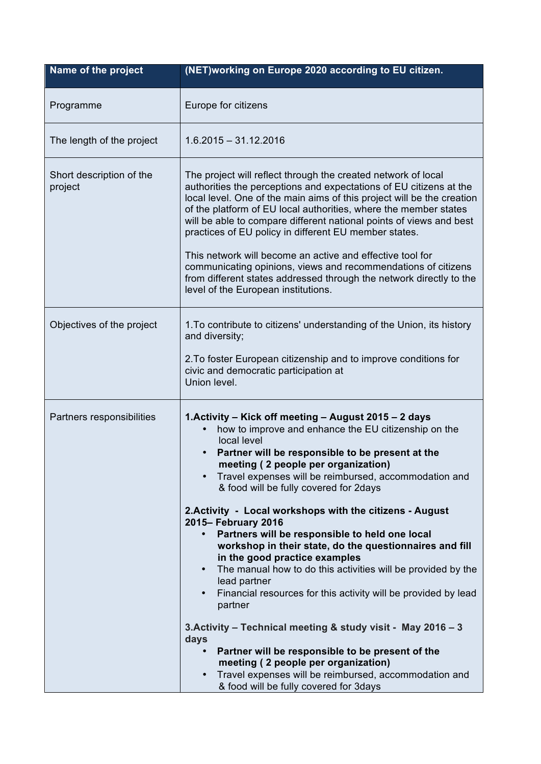| Name of the project                 | (NET)working on Europe 2020 according to EU citizen.                                                                                                                                                                                                                                                                                                                                                                                                                           |
|-------------------------------------|--------------------------------------------------------------------------------------------------------------------------------------------------------------------------------------------------------------------------------------------------------------------------------------------------------------------------------------------------------------------------------------------------------------------------------------------------------------------------------|
| Programme                           | Europe for citizens                                                                                                                                                                                                                                                                                                                                                                                                                                                            |
| The length of the project           | $1.6.2015 - 31.12.2016$                                                                                                                                                                                                                                                                                                                                                                                                                                                        |
| Short description of the<br>project | The project will reflect through the created network of local<br>authorities the perceptions and expectations of EU citizens at the<br>local level. One of the main aims of this project will be the creation<br>of the platform of EU local authorities, where the member states<br>will be able to compare different national points of views and best<br>practices of EU policy in different EU member states.<br>This network will become an active and effective tool for |
|                                     | communicating opinions, views and recommendations of citizens<br>from different states addressed through the network directly to the<br>level of the European institutions.                                                                                                                                                                                                                                                                                                    |
| Objectives of the project           | 1. To contribute to citizens' understanding of the Union, its history<br>and diversity;                                                                                                                                                                                                                                                                                                                                                                                        |
|                                     | 2. To foster European citizenship and to improve conditions for<br>civic and democratic participation at<br>Union level.                                                                                                                                                                                                                                                                                                                                                       |
| Partners responsibilities           | 1. Activity – Kick off meeting – August 2015 – 2 days<br>how to improve and enhance the EU citizenship on the<br>local level<br>Partner will be responsible to be present at the<br>$\bullet$<br>meeting (2 people per organization)<br>Travel expenses will be reimbursed, accommodation and<br>& food will be fully covered for 2days                                                                                                                                        |
|                                     | 2. Activity - Local workshops with the citizens - August<br>2015- February 2016<br>Partners will be responsible to held one local<br>$\bullet$<br>workshop in their state, do the questionnaires and fill<br>in the good practice examples<br>The manual how to do this activities will be provided by the<br>lead partner<br>Financial resources for this activity will be provided by lead<br>partner                                                                        |
|                                     | 3. Activity - Technical meeting & study visit - May 2016 - 3<br>days<br>Partner will be responsible to be present of the<br>meeting (2 people per organization)<br>Travel expenses will be reimbursed, accommodation and<br>& food will be fully covered for 3days                                                                                                                                                                                                             |